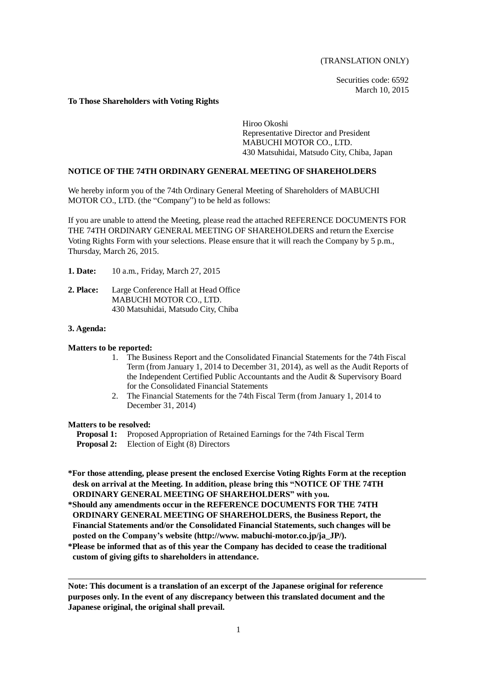(TRANSLATION ONLY)

Securities code: 6592 March 10, 2015

### **To Those Shareholders with Voting Rights**

Hiroo Okoshi Representative Director and President MABUCHI MOTOR CO., LTD. 430 Matsuhidai, Matsudo City, Chiba, Japan

# **NOTICE OF THE 74TH ORDINARY GENERAL MEETING OF SHAREHOLDERS**

We hereby inform you of the 74th Ordinary General Meeting of Shareholders of MABUCHI MOTOR CO., LTD. (the "Company") to be held as follows:

If you are unable to attend the Meeting, please read the attached REFERENCE DOCUMENTS FOR THE 74TH ORDINARY GENERAL MEETING OF SHAREHOLDERS and return the Exercise Voting Rights Form with your selections. Please ensure that it will reach the Company by 5 p.m., Thursday, March 26, 2015.

- **1. Date:** 10 a.m., Friday, March 27, 2015
- **2. Place:** Large Conference Hall at Head Office MABUCHI MOTOR CO., LTD. 430 Matsuhidai, Matsudo City, Chiba

## **3. Agenda:**

### **Matters to be reported:**

- 1. The Business Report and the Consolidated Financial Statements for the 74th Fiscal Term (from January 1, 2014 to December 31, 2014), as well as the Audit Reports of the Independent Certified Public Accountants and the Audit & Supervisory Board for the Consolidated Financial Statements
- 2. The Financial Statements for the 74th Fiscal Term (from January 1, 2014 to December 31, 2014)

### **Matters to be resolved:**

- **Proposal 1:** Proposed Appropriation of Retained Earnings for the 74th Fiscal Term
- **Proposal 2:** Election of Eight (8) Directors

**\*For those attending, please present the enclosed Exercise Voting Rights Form at the reception desk on arrival at the Meeting. In addition, please bring this "NOTICE OF THE 74TH ORDINARY GENERAL MEETING OF SHAREHOLDERS" with you.**

- **\*Should any amendments occur in the REFERENCE DOCUMENTS FOR THE 74TH ORDINARY GENERAL MEETING OF SHAREHOLDERS, the Business Report, the Financial Statements and/or the Consolidated Financial Statements, such changes will be posted on the Company's website (http://www. mabuchi-motor.co.jp/ja\_JP/).**
- **\*Please be informed that as of this year the Company has decided to cease the traditional custom of giving gifts to shareholders in attendance.**

**Note: This document is a translation of an excerpt of the Japanese original for reference purposes only. In the event of any discrepancy between this translated document and the Japanese original, the original shall prevail.**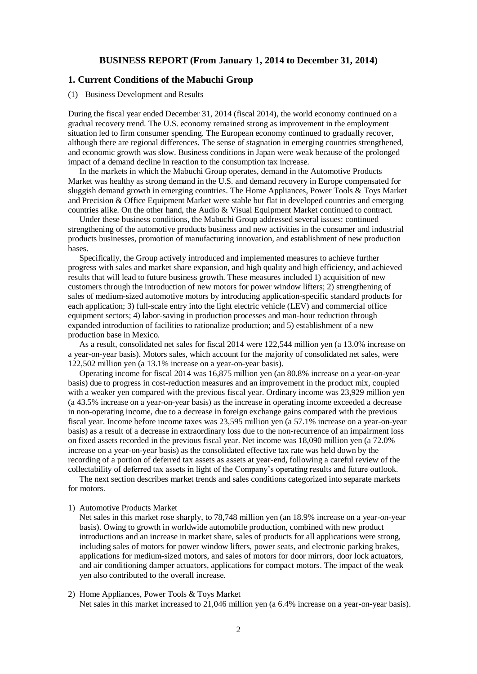# **BUSINESS REPORT (From January 1, 2014 to December 31, 2014)**

# **1. Current Conditions of the Mabuchi Group**

### (1) Business Development and Results

During the fiscal year ended December 31, 2014 (fiscal 2014), the world economy continued on a gradual recovery trend. The U.S. economy remained strong as improvement in the employment situation led to firm consumer spending. The European economy continued to gradually recover, although there are regional differences. The sense of stagnation in emerging countries strengthened, and economic growth was slow. Business conditions in Japan were weak because of the prolonged impact of a demand decline in reaction to the consumption tax increase.

In the markets in which the Mabuchi Group operates, demand in the Automotive Products Market was healthy as strong demand in the U.S. and demand recovery in Europe compensated for sluggish demand growth in emerging countries. The Home Appliances, Power Tools & Toys Market and Precision & Office Equipment Market were stable but flat in developed countries and emerging countries alike. On the other hand, the Audio & Visual Equipment Market continued to contract.

Under these business conditions, the Mabuchi Group addressed several issues: continued strengthening of the automotive products business and new activities in the consumer and industrial products businesses, promotion of manufacturing innovation, and establishment of new production bases.

Specifically, the Group actively introduced and implemented measures to achieve further progress with sales and market share expansion, and high quality and high efficiency, and achieved results that will lead to future business growth. These measures included 1) acquisition of new customers through the introduction of new motors for power window lifters; 2) strengthening of sales of medium-sized automotive motors by introducing application-specific standard products for each application; 3) full-scale entry into the light electric vehicle (LEV) and commercial office equipment sectors; 4) labor-saving in production processes and man-hour reduction through expanded introduction of facilities to rationalize production; and 5) establishment of a new production base in Mexico.

As a result, consolidated net sales for fiscal 2014 were 122,544 million yen (a 13.0% increase on a year-on-year basis). Motors sales, which account for the majority of consolidated net sales, were 122,502 million yen (a 13.1% increase on a year-on-year basis).

Operating income for fiscal 2014 was 16,875 million yen (an 80.8% increase on a year-on-year basis) due to progress in cost-reduction measures and an improvement in the product mix, coupled with a weaker yen compared with the previous fiscal year. Ordinary income was 23,929 million yen (a 43.5% increase on a year-on-year basis) as the increase in operating income exceeded a decrease in non-operating income, due to a decrease in foreign exchange gains compared with the previous fiscal year. Income before income taxes was 23,595 million yen (a 57.1% increase on a year-on-year basis) as a result of a decrease in extraordinary loss due to the non-recurrence of an impairment loss on fixed assets recorded in the previous fiscal year. Net income was 18,090 million yen (a 72.0% increase on a year-on-year basis) as the consolidated effective tax rate was held down by the recording of a portion of deferred tax assets as assets at year-end, following a careful review of the collectability of deferred tax assets in light of the Company's operating results and future outlook.

The next section describes market trends and sales conditions categorized into separate markets for motors.

#### 1) Automotive Products Market

Net sales in this market rose sharply, to 78,748 million yen (an 18.9% increase on a year-on-year basis). Owing to growth in worldwide automobile production, combined with new product introductions and an increase in market share, sales of products for all applications were strong, including sales of motors for power window lifters, power seats, and electronic parking brakes, applications for medium-sized motors, and sales of motors for door mirrors, door lock actuators, and air conditioning damper actuators, applications for compact motors. The impact of the weak yen also contributed to the overall increase.

# 2) Home Appliances, Power Tools & Toys Market

Net sales in this market increased to 21,046 million yen (a 6.4% increase on a year-on-year basis).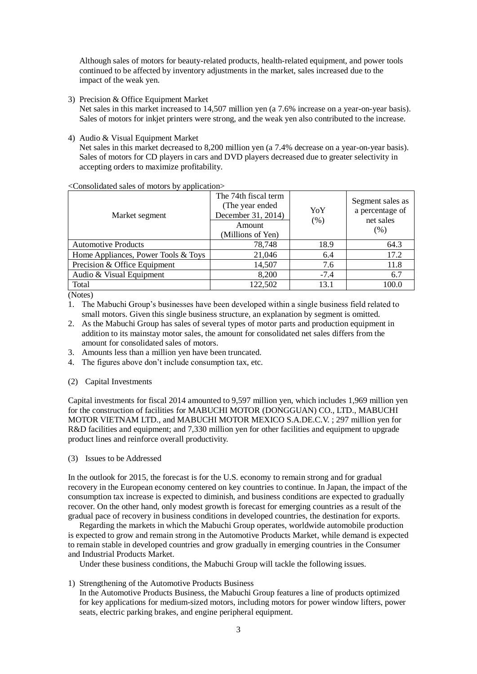Although sales of motors for beauty-related products, health-related equipment, and power tools continued to be affected by inventory adjustments in the market, sales increased due to the impact of the weak yen.

3) Precision & Office Equipment Market

Net sales in this market increased to 14,507 million yen (a 7.6% increase on a year-on-year basis). Sales of motors for inkjet printers were strong, and the weak yen also contributed to the increase.

4) Audio & Visual Equipment Market

Net sales in this market decreased to 8,200 million yen (a 7.4% decrease on a year-on-year basis). Sales of motors for CD players in cars and DVD players decreased due to greater selectivity in accepting orders to maximize profitability.

<Consolidated sales of motors by application>

| Market segment                      | The 74th fiscal term<br>(The year ended)<br>December 31, 2014)<br>Amount<br>(Millions of Yen) | YoY<br>(% ) | Segment sales as<br>a percentage of<br>net sales<br>(% ) |
|-------------------------------------|-----------------------------------------------------------------------------------------------|-------------|----------------------------------------------------------|
| <b>Automotive Products</b>          | 78,748                                                                                        | 18.9        | 64.3                                                     |
| Home Appliances, Power Tools & Toys | 21,046                                                                                        | 6.4         | 17.2                                                     |
| Precision & Office Equipment        | 14,507                                                                                        | 7.6         | 11.8                                                     |
| Audio & Visual Equipment            | 8,200                                                                                         | $-7.4$      | 6.7                                                      |
| Total                               | 122,502                                                                                       | 13.1        | 100.0                                                    |

(Notes)

- 1. The Mabuchi Group's businesses have been developed within a single business field related to small motors. Given this single business structure, an explanation by segment is omitted.
- 2. As the Mabuchi Group has sales of several types of motor parts and production equipment in addition to its mainstay motor sales, the amount for consolidated net sales differs from the amount for consolidated sales of motors.
- 3. Amounts less than a million yen have been truncated.
- 4. The figures above don't include consumption tax, etc.

### (2) Capital Investments

Capital investments for fiscal 2014 amounted to 9,597 million yen, which includes 1,969 million yen for the construction of facilities for MABUCHI MOTOR (DONGGUAN) CO., LTD., MABUCHI MOTOR VIETNAM LTD., and MABUCHI MOTOR MEXICO S.A.DE.C.V. ; 297 million yen for R&D facilities and equipment; and 7,330 million yen for other facilities and equipment to upgrade product lines and reinforce overall productivity.

(3) Issues to be Addressed

In the outlook for 2015, the forecast is for the U.S. economy to remain strong and for gradual recovery in the European economy centered on key countries to continue. In Japan, the impact of the consumption tax increase is expected to diminish, and business conditions are expected to gradually recover. On the other hand, only modest growth is forecast for emerging countries as a result of the gradual pace of recovery in business conditions in developed countries, the destination for exports.

Regarding the markets in which the Mabuchi Group operates, worldwide automobile production is expected to grow and remain strong in the Automotive Products Market, while demand is expected to remain stable in developed countries and grow gradually in emerging countries in the Consumer and Industrial Products Market.

Under these business conditions, the Mabuchi Group will tackle the following issues.

1) Strengthening of the Automotive Products Business

In the Automotive Products Business, the Mabuchi Group features a line of products optimized for key applications for medium-sized motors, including motors for power window lifters, power seats, electric parking brakes, and engine peripheral equipment.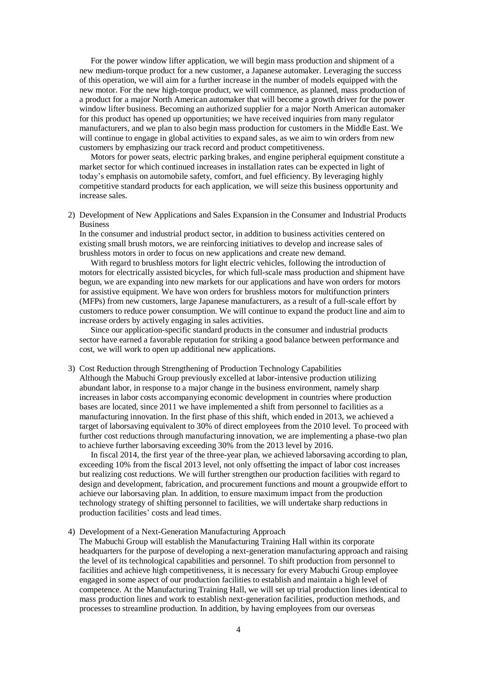For the power window lifter application, we will begin mass production and shipment of a new medium-torque product for a new customer, a Japanese automaker. Leveraging the success of this operation, we will aim for a further increase in the number of models equipped with the new motor. For the new high-torque product, we will commence, as planned, mass production of a product for a major North American automaker that will become a growth driver for the power window lifter business. Becoming an authorized supplier for a major North American automaker for this product has opened up opportunities; we have received inquiries from many regulator manufacturers, and we plan to also begin mass production for customers in the Middle East. We will continue to engage in global activities to expand sales, as we aim to win orders from new customers by emphasizing our track record and product competitiveness.

Motors for power seats, electric parking brakes, and engine peripheral equipment constitute a market sector for which continued increases in installation rates can be expected in light of today's emphasis on automobile safety, comfort, and fuel efficiency. By leveraging highly competitive standard products for each application, we will seize this business opportunity and increase sales.

2) Development of New Applications and Sales Expansion in the Consumer and Industrial Products Business

In the consumer and industrial product sector, in addition to business activities centered on existing small brush motors, we are reinforcing initiatives to develop and increase sales of brushless motors in order to focus on new applications and create new demand.

With regard to brushless motors for light electric vehicles, following the introduction of motors for electrically assisted bicycles, for which full-scale mass production and shipment have begun, we are expanding into new markets for our applications and have won orders for motors for assistive equipment. We have won orders for brushless motors for multifunction printers (MFPs) from new customers, large Japanese manufacturers, as a result of a full-scale effort by customers to reduce power consumption. We will continue to expand the product line and aim to increase orders by actively engaging in sales activities.

Since our application-specific standard products in the consumer and industrial products sector have earned a favorable reputation for striking a good balance between performance and cost, we will work to open up additional new applications.

#### 3) Cost Reduction through Strengthening of Production Technology Capabilities

Although the Mabuchi Group previously excelled at labor-intensive production utilizing abundant labor, in response to a major change in the business environment, namely sharp increases in labor costs accompanying economic development in countries where production bases are located, since 2011 we have implemented a shift from personnel to facilities as a manufacturing innovation. In the first phase of this shift, which ended in 2013, we achieved a target of laborsaving equivalent to 30% of direct employees from the 2010 level. To proceed with further cost reductions through manufacturing innovation, we are implementing a phase-two plan to achieve further laborsaving exceeding 30% from the 2013 level by 2016.

In fiscal 2014, the first year of the three-year plan, we achieved laborsaving according to plan, exceeding 10% from the fiscal 2013 level, not only offsetting the impact of labor cost increases but realizing cost reductions. We will further strengthen our production facilities with regard to design and development, fabrication, and procurement functions and mount a groupwide effort to achieve our laborsaving plan. In addition, to ensure maximum impact from the production technology strategy of shifting personnel to facilities, we will undertake sharp reductions in production facilities' costs and lead times.

### 4) Development of a Next-Generation Manufacturing Approach

The Mabuchi Group will establish the Manufacturing Training Hall within its corporate headquarters for the purpose of developing a next-generation manufacturing approach and raising the level of its technological capabilities and personnel. To shift production from personnel to facilities and achieve high competitiveness, it is necessary for every Mabuchi Group employee engaged in some aspect of our production facilities to establish and maintain a high level of competence. At the Manufacturing Training Hall, we will set up trial production lines identical to mass production lines and work to establish next-generation facilities, production methods, and processes to streamline production. In addition, by having employees from our overseas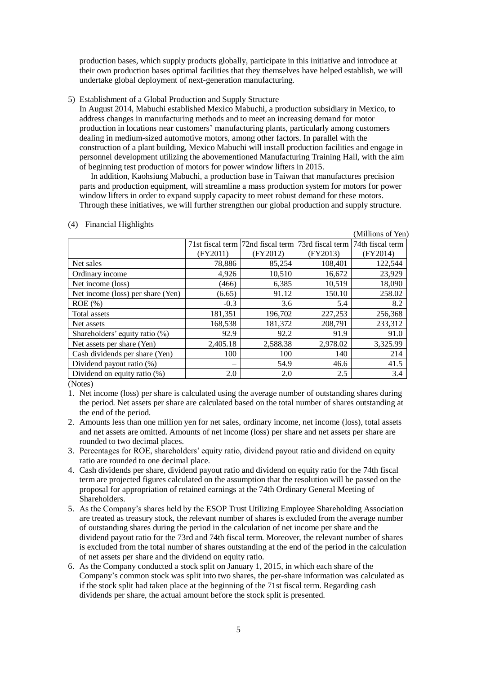production bases, which supply products globally, participate in this initiative and introduce at their own production bases optimal facilities that they themselves have helped establish, we will undertake global deployment of next-generation manufacturing.

5) Establishment of a Global Production and Supply Structure

In August 2014, Mabuchi established Mexico Mabuchi, a production subsidiary in Mexico, to address changes in manufacturing methods and to meet an increasing demand for motor production in locations near customers' manufacturing plants, particularly among customers dealing in medium-sized automotive motors, among other factors. In parallel with the construction of a plant building, Mexico Mabuchi will install production facilities and engage in personnel development utilizing the abovementioned Manufacturing Training Hall, with the aim of beginning test production of motors for power window lifters in 2015.

In addition, Kaohsiung Mabuchi, a production base in Taiwan that manufactures precision parts and production equipment, will streamline a mass production system for motors for power window lifters in order to expand supply capacity to meet robust demand for these motors. Through these initiatives, we will further strengthen our global production and supply structure.

|                                   |          |                                                                     |          | (Millions of Yen) |
|-----------------------------------|----------|---------------------------------------------------------------------|----------|-------------------|
|                                   |          | 71st fiscal term 72nd fiscal term 73rd fiscal term 74th fiscal term |          |                   |
|                                   | (FY2011) | (FY2012)                                                            | (FY2013) | (FY2014)          |
| Net sales                         | 78,886   | 85,254                                                              | 108,401  | 122,544           |
| Ordinary income                   | 4,926    | 10,510                                                              | 16,672   | 23,929            |
| Net income (loss)                 | (466)    | 6,385                                                               | 10,519   | 18,090            |
| Net income (loss) per share (Yen) | (6.65)   | 91.12                                                               | 150.10   | 258.02            |
| $ROE$ $(\%)$                      | $-0.3$   | 3.6                                                                 | 5.4      | 8.2               |
| Total assets                      | 181,351  | 196,702                                                             | 227,253  | 256,368           |
| Net assets                        | 168,538  | 181,372                                                             | 208,791  | 233,312           |
| Shareholders' equity ratio $(\%)$ | 92.9     | 92.2                                                                | 91.9     | 91.0              |
| Net assets per share (Yen)        | 2,405.18 | 2,588.38                                                            | 2,978.02 | 3,325.99          |
| Cash dividends per share (Yen)    | 100      | 100                                                                 | 140      | 214               |
| Dividend payout ratio (%)         |          | 54.9                                                                | 46.6     | 41.5              |
| Dividend on equity ratio (%)      | 2.0      | 2.0                                                                 | 2.5      | 3.4               |

### (4) Financial Highlights

(Notes)

- 1. Net income (loss) per share is calculated using the average number of outstanding shares during the period. Net assets per share are calculated based on the total number of shares outstanding at the end of the period.
- 2. Amounts less than one million yen for net sales, ordinary income, net income (loss), total assets and net assets are omitted. Amounts of net income (loss) per share and net assets per share are rounded to two decimal places.
- 3. Percentages for ROE, shareholders' equity ratio, dividend payout ratio and dividend on equity ratio are rounded to one decimal place.
- 4. Cash dividends per share, dividend payout ratio and dividend on equity ratio for the 74th fiscal term are projected figures calculated on the assumption that the resolution will be passed on the proposal for appropriation of retained earnings at the 74th Ordinary General Meeting of Shareholders.
- 5. As the Company's shares held by the ESOP Trust Utilizing Employee Shareholding Association are treated as treasury stock, the relevant number of shares is excluded from the average number of outstanding shares during the period in the calculation of net income per share and the dividend payout ratio for the 73rd and 74th fiscal term. Moreover, the relevant number of shares is excluded from the total number of shares outstanding at the end of the period in the calculation of net assets per share and the dividend on equity ratio.
- 6. As the Company conducted a stock split on January 1, 2015, in which each share of the Company's common stock was split into two shares, the per-share information was calculated as if the stock split had taken place at the beginning of the 71st fiscal term. Regarding cash dividends per share, the actual amount before the stock split is presented.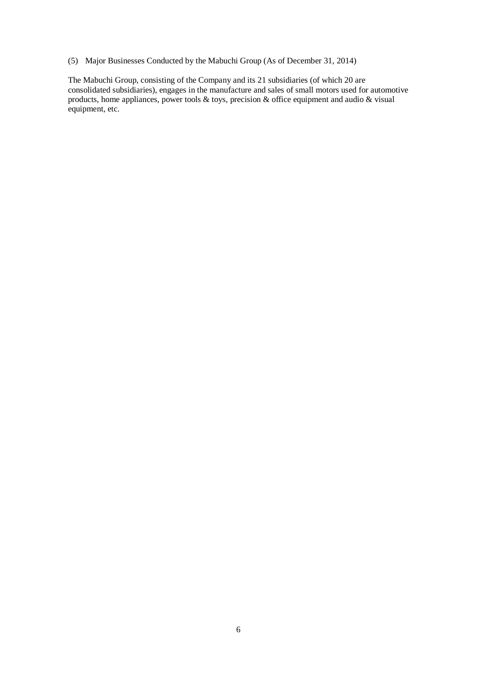(5) Major Businesses Conducted by the Mabuchi Group (As of December 31, 2014)

The Mabuchi Group, consisting of the Company and its 21 subsidiaries (of which 20 are consolidated subsidiaries), engages in the manufacture and sales of small motors used for automotive products, home appliances, power tools  $\&$  toys, precision  $\&$  office equipment and audio  $\&$  visual equipment, etc.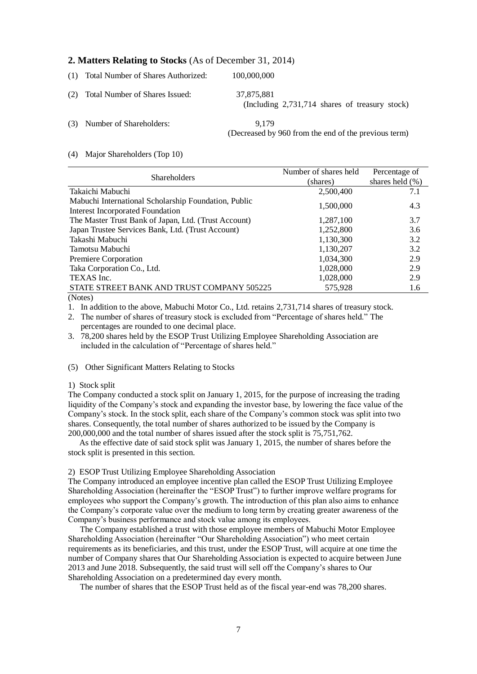# **2. Matters Relating to Stocks** (As of December 31, 2014)

| (1) Total Number of Shares Authorized: | 100,000,000                                                    |
|----------------------------------------|----------------------------------------------------------------|
| (2) Total Number of Shares Issued:     | 37,875,881<br>(Including $2,731,714$ shares of treasury stock) |
| (3) Number of Shareholders:            | 9.179<br>(Decreased by 960 from the end of the previous term)  |

### (4) Major Shareholders (Top 10)

|                                                      | Number of shares held | Percentage of       |
|------------------------------------------------------|-----------------------|---------------------|
| <b>Shareholders</b>                                  | (shares)              | shares held $(\% )$ |
| Takaichi Mabuchi                                     | 2,500,400             | 7.1                 |
| Mabuchi International Scholarship Foundation, Public |                       |                     |
| <b>Interest Incorporated Foundation</b>              | 1,500,000             | 4.3                 |
| The Master Trust Bank of Japan, Ltd. (Trust Account) | 1,287,100             | 3.7                 |
| Japan Trustee Services Bank, Ltd. (Trust Account)    | 1,252,800             | 3.6                 |
| Takashi Mabuchi                                      | 1,130,300             | 3.2                 |
| Tamotsu Mabuchi                                      | 1,130,207             | 3.2                 |
| Premiere Corporation                                 | 1,034,300             | 2.9                 |
| Taka Corporation Co., Ltd.                           | 1,028,000             | 2.9                 |
| TEXAS Inc.                                           | 1,028,000             | 2.9                 |
| STATE STREET BANK AND TRUST COMPANY 505225           | 575,928               | 1.6                 |
| $(NT - 1 - 1)$                                       |                       |                     |

(Notes)

1. In addition to the above, Mabuchi Motor Co., Ltd. retains 2,731,714 shares of treasury stock.

2. The number of shares of treasury stock is excluded from "Percentage of shares held." The percentages are rounded to one decimal place.

3. 78,200 shares held by the ESOP Trust Utilizing Employee Shareholding Association are included in the calculation of "Percentage of shares held."

#### (5) Other Significant Matters Relating to Stocks

#### 1) Stock split

The Company conducted a stock split on January 1, 2015, for the purpose of increasing the trading liquidity of the Company's stock and expanding the investor base, by lowering the face value of the Company's stock. In the stock split, each share of the Company's common stock was split into two shares. Consequently, the total number of shares authorized to be issued by the Company is 200,000,000 and the total number of shares issued after the stock split is 75,751,762.

As the effective date of said stock split was January 1, 2015, the number of shares before the stock split is presented in this section.

#### 2) ESOP Trust Utilizing Employee Shareholding Association

The Company introduced an employee incentive plan called the ESOP Trust Utilizing Employee Shareholding Association (hereinafter the "ESOP Trust") to further improve welfare programs for employees who support the Company's growth. The introduction of this plan also aims to enhance the Company's corporate value over the medium to long term by creating greater awareness of the Company's business performance and stock value among its employees.

The Company established a trust with those employee members of Mabuchi Motor Employee Shareholding Association (hereinafter "Our Shareholding Association") who meet certain requirements as its beneficiaries, and this trust, under the ESOP Trust, will acquire at one time the number of Company shares that Our Shareholding Association is expected to acquire between June 2013 and June 2018. Subsequently, the said trust will sell off the Company's shares to Our Shareholding Association on a predetermined day every month.

The number of shares that the ESOP Trust held as of the fiscal year-end was 78,200 shares.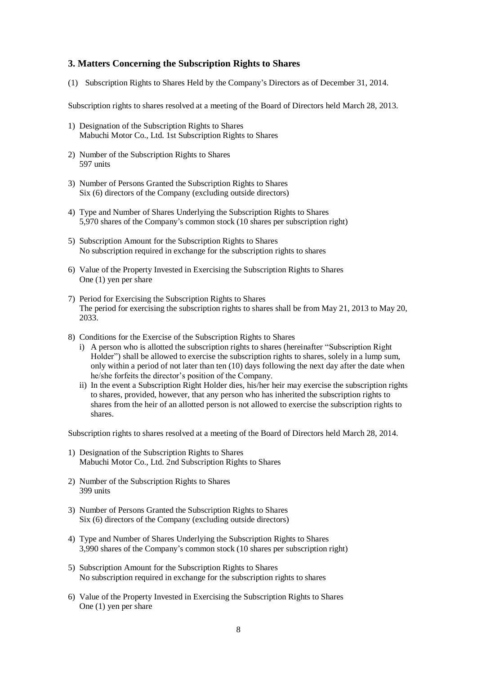# **3. Matters Concerning the Subscription Rights to Shares**

(1) Subscription Rights to Shares Held by the Company's Directors as of December 31, 2014.

Subscription rights to shares resolved at a meeting of the Board of Directors held March 28, 2013.

- 1) Designation of the Subscription Rights to Shares Mabuchi Motor Co., Ltd. 1st Subscription Rights to Shares
- 2) Number of the Subscription Rights to Shares 597 units
- 3) Number of Persons Granted the Subscription Rights to Shares Six (6) directors of the Company (excluding outside directors)
- 4) Type and Number of Shares Underlying the Subscription Rights to Shares 5,970 shares of the Company's common stock (10 shares per subscription right)
- 5) Subscription Amount for the Subscription Rights to Shares No subscription required in exchange for the subscription rights to shares
- 6) Value of the Property Invested in Exercising the Subscription Rights to Shares One (1) yen per share
- 7) Period for Exercising the Subscription Rights to Shares The period for exercising the subscription rights to shares shall be from May 21, 2013 to May 20, 2033.
- 8) Conditions for the Exercise of the Subscription Rights to Shares
	- i) A person who is allotted the subscription rights to shares (hereinafter "Subscription Right Holder") shall be allowed to exercise the subscription rights to shares, solely in a lump sum, only within a period of not later than ten (10) days following the next day after the date when he/she forfeits the director's position of the Company.
	- ii) In the event a Subscription Right Holder dies, his/her heir may exercise the subscription rights to shares, provided, however, that any person who has inherited the subscription rights to shares from the heir of an allotted person is not allowed to exercise the subscription rights to shares.

Subscription rights to shares resolved at a meeting of the Board of Directors held March 28, 2014.

- 1) Designation of the Subscription Rights to Shares Mabuchi Motor Co., Ltd. 2nd Subscription Rights to Shares
- 2) Number of the Subscription Rights to Shares 399 units
- 3) Number of Persons Granted the Subscription Rights to Shares Six (6) directors of the Company (excluding outside directors)
- 4) Type and Number of Shares Underlying the Subscription Rights to Shares 3,990 shares of the Company's common stock (10 shares per subscription right)
- 5) Subscription Amount for the Subscription Rights to Shares No subscription required in exchange for the subscription rights to shares
- 6) Value of the Property Invested in Exercising the Subscription Rights to Shares One (1) yen per share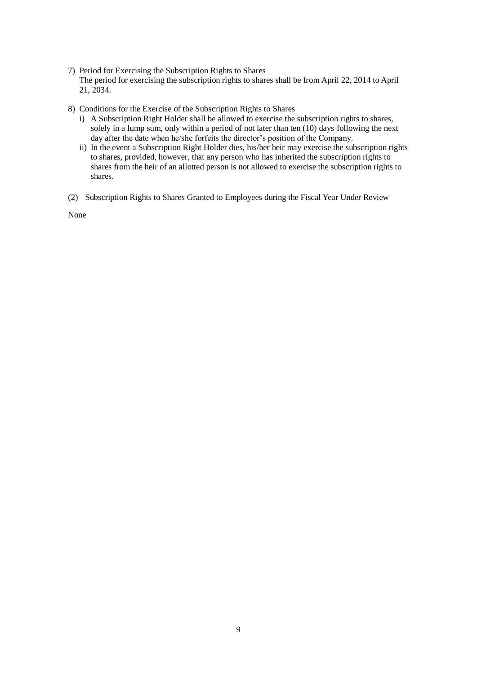- 7) Period for Exercising the Subscription Rights to Shares The period for exercising the subscription rights to shares shall be from April 22, 2014 to April 21, 2034.
- 8) Conditions for the Exercise of the Subscription Rights to Shares
	- i) A Subscription Right Holder shall be allowed to exercise the subscription rights to shares, solely in a lump sum, only within a period of not later than ten (10) days following the next day after the date when he/she forfeits the director's position of the Company.
	- ii) In the event a Subscription Right Holder dies, his/her heir may exercise the subscription rights to shares, provided, however, that any person who has inherited the subscription rights to shares from the heir of an allotted person is not allowed to exercise the subscription rights to shares.
- (2) Subscription Rights to Shares Granted to Employees during the Fiscal Year Under Review

None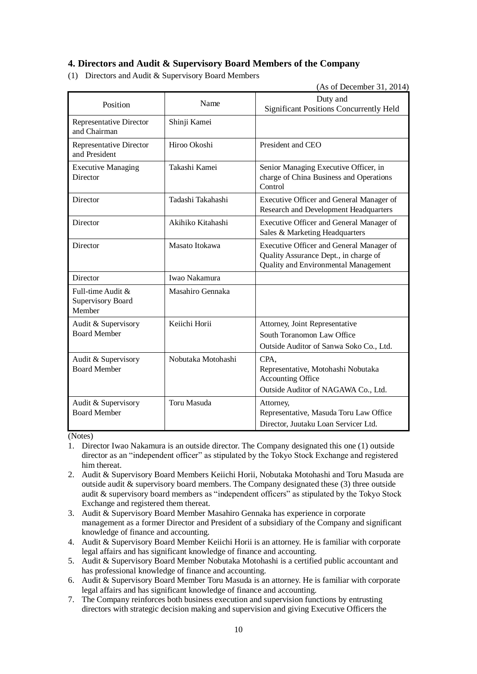# **4. Directors and Audit & Supervisory Board Members of the Company**

(1) Directors and Audit & Supervisory Board Members

(As of December 31, 2014)

| Position                                                | Name               | Duty and<br><b>Significant Positions Concurrently Held</b>                                                                |
|---------------------------------------------------------|--------------------|---------------------------------------------------------------------------------------------------------------------------|
| Representative Director<br>and Chairman                 | Shinji Kamei       |                                                                                                                           |
| <b>Representative Director</b><br>and President         | Hiroo Okoshi       | President and CEO                                                                                                         |
| <b>Executive Managing</b><br>Director                   | Takashi Kamei      | Senior Managing Executive Officer, in<br>charge of China Business and Operations<br>Control                               |
| Director                                                | Tadashi Takahashi  | Executive Officer and General Manager of<br>Research and Development Headquarters                                         |
| Director                                                | Akihiko Kitahashi  | Executive Officer and General Manager of<br>Sales & Marketing Headquarters                                                |
| Director                                                | Masato Itokawa     | Executive Officer and General Manager of<br>Quality Assurance Dept., in charge of<br>Quality and Environmental Management |
| Director                                                | Iwao Nakamura      |                                                                                                                           |
| Full-time Audit &<br><b>Supervisory Board</b><br>Member | Masahiro Gennaka   |                                                                                                                           |
| Audit & Supervisory<br><b>Board Member</b>              | Keiichi Horii      | Attorney, Joint Representative<br>South Toranomon Law Office<br>Outside Auditor of Sanwa Soko Co., Ltd.                   |
| Audit & Supervisory<br><b>Board Member</b>              | Nobutaka Motohashi | CPA,<br>Representative, Motohashi Nobutaka<br><b>Accounting Office</b><br>Outside Auditor of NAGAWA Co., Ltd.             |
| Audit & Supervisory<br><b>Board Member</b>              | Toru Masuda        | Attorney,<br>Representative, Masuda Toru Law Office<br>Director, Juutaku Loan Servicer Ltd.                               |

(Notes)

- 1. Director Iwao Nakamura is an outside director. The Company designated this one (1) outside director as an "independent officer" as stipulated by the Tokyo Stock Exchange and registered him thereat.
- 2. Audit & Supervisory Board Members Keiichi Horii, Nobutaka Motohashi and Toru Masuda are outside audit & supervisory board members. The Company designated these (3) three outside audit & supervisory board members as "independent officers" as stipulated by the Tokyo Stock Exchange and registered them thereat.
- 3. Audit & Supervisory Board Member Masahiro Gennaka has experience in corporate management as a former Director and President of a subsidiary of the Company and significant knowledge of finance and accounting.
- 4. Audit & Supervisory Board Member Keiichi Horii is an attorney. He is familiar with corporate legal affairs and has significant knowledge of finance and accounting.
- 5. Audit & Supervisory Board Member Nobutaka Motohashi is a certified public accountant and has professional knowledge of finance and accounting.
- 6. Audit & Supervisory Board Member Toru Masuda is an attorney. He is familiar with corporate legal affairs and has significant knowledge of finance and accounting.
- 7. The Company reinforces both business execution and supervision functions by entrusting directors with strategic decision making and supervision and giving Executive Officers the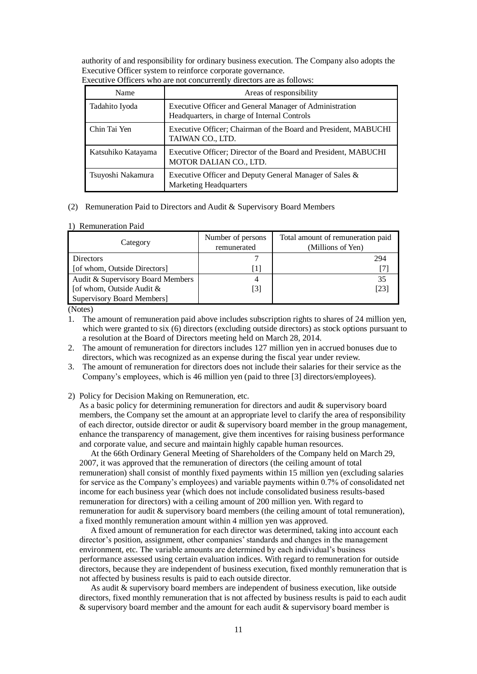authority of and responsibility for ordinary business execution. The Company also adopts the Executive Officer system to reinforce corporate governance.

| Name               | Areas of responsibility                                                                                 |
|--------------------|---------------------------------------------------------------------------------------------------------|
| Tadahito Iyoda     | Executive Officer and General Manager of Administration<br>Headquarters, in charge of Internal Controls |
| Chin Tai Yen       | Executive Officer; Chairman of the Board and President, MABUCHI<br>TAIWAN CO., LTD.                     |
| Katsuhiko Katayama | Executive Officer; Director of the Board and President, MABUCHI<br>MOTOR DALIAN CO., LTD.               |
| Tsuyoshi Nakamura  | Executive Officer and Deputy General Manager of Sales &<br><b>Marketing Headquarters</b>                |

Executive Officers who are not concurrently directors are as follows:

#### (2) Remuneration Paid to Directors and Audit & Supervisory Board Members

#### 1) Remuneration Paid

| Category                          | Number of persons<br>remunerated | Total amount of remuneration paid<br>(Millions of Yen) |
|-----------------------------------|----------------------------------|--------------------------------------------------------|
| Directors                         |                                  | 294                                                    |
| [of whom, Outside Directors]      | $\perp$                          |                                                        |
| Audit & Supervisory Board Members |                                  | 35                                                     |
| [of whom, Outside Audit &         | [3]                              | [23]                                                   |
| Supervisory Board Members]        |                                  |                                                        |

(Notes)

- 1. The amount of remuneration paid above includes subscription rights to shares of 24 million yen, which were granted to six (6) directors (excluding outside directors) as stock options pursuant to a resolution at the Board of Directors meeting held on March 28, 2014.
- 2. The amount of remuneration for directors includes 127 million yen in accrued bonuses due to directors, which was recognized as an expense during the fiscal year under review.
- 3. The amount of remuneration for directors does not include their salaries for their service as the Company's employees, which is 46 million yen (paid to three [3] directors/employees).
- 2) Policy for Decision Making on Remuneration, etc.

As a basic policy for determining remuneration for directors and audit  $\&$  supervisory board members, the Company set the amount at an appropriate level to clarify the area of responsibility of each director, outside director or audit & supervisory board member in the group management, enhance the transparency of management, give them incentives for raising business performance and corporate value, and secure and maintain highly capable human resources.

At the 66th Ordinary General Meeting of Shareholders of the Company held on March 29, 2007, it was approved that the remuneration of directors (the ceiling amount of total remuneration) shall consist of monthly fixed payments within 15 million yen (excluding salaries for service as the Company's employees) and variable payments within 0.7% of consolidated net income for each business year (which does not include consolidated business results-based remuneration for directors) with a ceiling amount of 200 million yen. With regard to remuneration for audit  $&$  supervisory board members (the ceiling amount of total remuneration), a fixed monthly remuneration amount within 4 million yen was approved.

A fixed amount of remuneration for each director was determined, taking into account each director's position, assignment, other companies' standards and changes in the management environment, etc. The variable amounts are determined by each individual's business performance assessed using certain evaluation indices. With regard to remuneration for outside directors, because they are independent of business execution, fixed monthly remuneration that is not affected by business results is paid to each outside director.

As audit & supervisory board members are independent of business execution, like outside directors, fixed monthly remuneration that is not affected by business results is paid to each audit  $&$  supervisory board member and the amount for each audit  $&$  supervisory board member is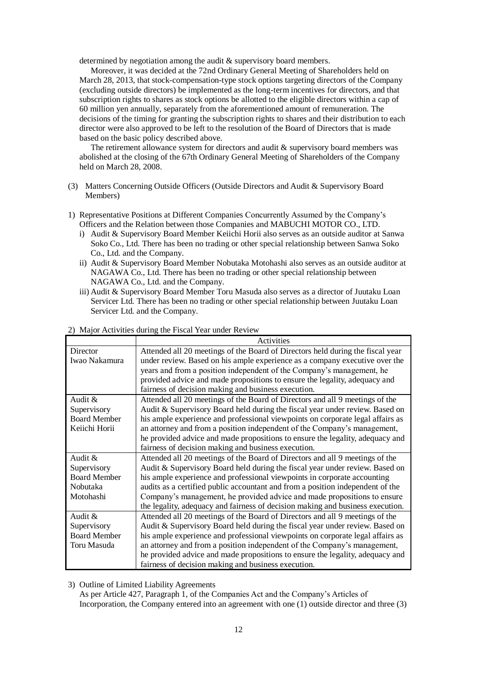determined by negotiation among the audit & supervisory board members.

Moreover, it was decided at the 72nd Ordinary General Meeting of Shareholders held on March 28, 2013, that stock-compensation-type stock options targeting directors of the Company (excluding outside directors) be implemented as the long-term incentives for directors, and that subscription rights to shares as stock options be allotted to the eligible directors within a cap of 60 million yen annually, separately from the aforementioned amount of remuneration. The decisions of the timing for granting the subscription rights to shares and their distribution to each director were also approved to be left to the resolution of the Board of Directors that is made based on the basic policy described above.

The retirement allowance system for directors and audit & supervisory board members was abolished at the closing of the 67th Ordinary General Meeting of Shareholders of the Company held on March 28, 2008.

- (3) Matters Concerning Outside Officers (Outside Directors and Audit & Supervisory Board Members)
- 1) Representative Positions at Different Companies Concurrently Assumed by the Company's Officers and the Relation between those Companies and MABUCHI MOTOR CO., LTD.
	- i) Audit & Supervisory Board Member Keiichi Horii also serves as an outside auditor at Sanwa Soko Co., Ltd. There has been no trading or other special relationship between Sanwa Soko Co., Ltd. and the Company.
	- ii) Audit & Supervisory Board Member Nobutaka Motohashi also serves as an outside auditor at NAGAWA Co., Ltd. There has been no trading or other special relationship between NAGAWA Co., Ltd. and the Company.
	- iii) Audit & Supervisory Board Member Toru Masuda also serves as a director of Juutaku Loan Servicer Ltd. There has been no trading or other special relationship between Juutaku Loan Servicer Ltd. and the Company.

|                     | Activities                                                                     |
|---------------------|--------------------------------------------------------------------------------|
| Director            | Attended all 20 meetings of the Board of Directors held during the fiscal year |
| Iwao Nakamura       | under review. Based on his ample experience as a company executive over the    |
|                     | years and from a position independent of the Company's management, he          |
|                     | provided advice and made propositions to ensure the legality, adequacy and     |
|                     | fairness of decision making and business execution.                            |
| Audit $\&$          | Attended all 20 meetings of the Board of Directors and all 9 meetings of the   |
| Supervisory         | Audit & Supervisory Board held during the fiscal year under review. Based on   |
| <b>Board Member</b> | his ample experience and professional viewpoints on corporate legal affairs as |
| Keiichi Horii       | an attorney and from a position independent of the Company's management,       |
|                     | he provided advice and made propositions to ensure the legality, adequacy and  |
|                     | fairness of decision making and business execution.                            |
| Audit $\&$          | Attended all 20 meetings of the Board of Directors and all 9 meetings of the   |
| Supervisory         | Audit & Supervisory Board held during the fiscal year under review. Based on   |
| <b>Board Member</b> | his ample experience and professional viewpoints in corporate accounting       |
| Nobutaka            | audits as a certified public accountant and from a position independent of the |
| Motohashi           | Company's management, he provided advice and made propositions to ensure       |
|                     | the legality, adequacy and fairness of decision making and business execution. |
| Audit &             | Attended all 20 meetings of the Board of Directors and all 9 meetings of the   |
| Supervisory         | Audit & Supervisory Board held during the fiscal year under review. Based on   |
| <b>Board Member</b> | his ample experience and professional viewpoints on corporate legal affairs as |
| Toru Masuda         | an attorney and from a position independent of the Company's management,       |
|                     | he provided advice and made propositions to ensure the legality, adequacy and  |
|                     | fairness of decision making and business execution.                            |

#### 2) Major Activities during the Fiscal Year under Review

3) Outline of Limited Liability Agreements

As per Article 427, Paragraph 1, of the Companies Act and the Company's Articles of Incorporation, the Company entered into an agreement with one (1) outside director and three (3)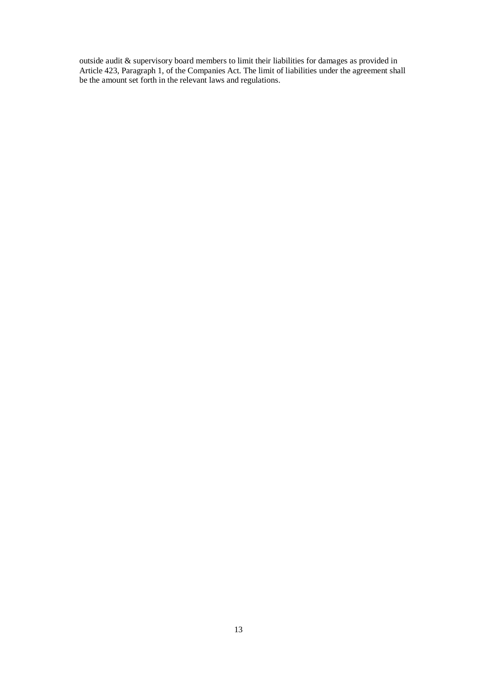outside audit  $\&$  supervisory board members to limit their liabilities for damages as provided in Article 423, Paragraph 1, of the Companies Act. The limit of liabilities under the agreement shall be the amount set forth in the relevant laws and regulations.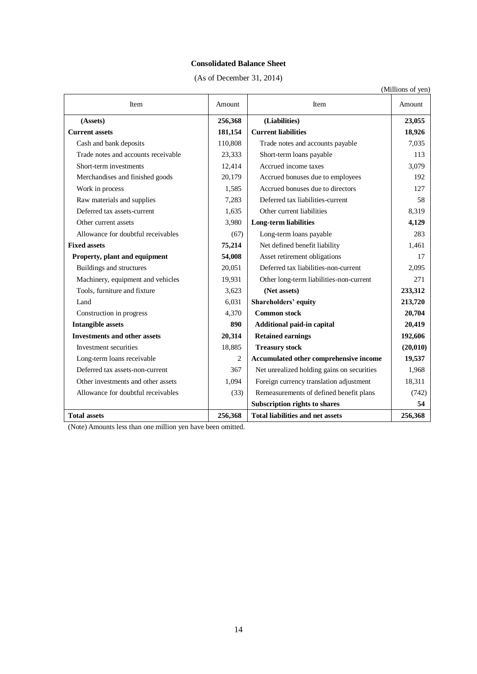# **Consolidated Balance Sheet**

(As of December 31, 2014)

|                                     |         |                                            | (Millions of yen) |
|-------------------------------------|---------|--------------------------------------------|-------------------|
| Item                                | Amount  | Item                                       | Amount            |
| (Assets)                            | 256,368 | (Liabilities)                              | 23,055            |
| <b>Current assets</b>               | 181,154 | <b>Current liabilities</b>                 | 18,926            |
| Cash and bank deposits              | 110,808 | Trade notes and accounts payable           | 7,035             |
| Trade notes and accounts receivable | 23,333  | Short-term loans payable                   | 113               |
| Short-term investments              | 12,414  | Accrued income taxes                       | 3,079             |
| Merchandises and finished goods     | 20,179  | Accrued bonuses due to employees           | 192               |
| Work in process                     | 1,585   | Accrued bonuses due to directors           | 127               |
| Raw materials and supplies          | 7,283   | Deferred tax liabilities-current           | 58                |
| Deferred tax assets-current         | 1,635   | Other current liabilities                  | 8,319             |
| Other current assets                | 3,980   | Long-term liabilities                      | 4,129             |
| Allowance for doubtful receivables  | (67)    | Long-term loans payable                    | 283               |
| <b>Fixed assets</b>                 | 75,214  | Net defined benefit liability              | 1,461             |
| Property, plant and equipment       | 54,008  | Asset retirement obligations               | 17                |
| Buildings and structures            | 20,051  | Deferred tax liabilities-non-current       | 2,095             |
| Machinery, equipment and vehicles   | 19,931  | Other long-term liabilities-non-current    | 271               |
| Tools, furniture and fixture        | 3,623   | (Net assets)                               | 233,312           |
| Land                                | 6,031   | <b>Shareholders' equity</b>                | 213,720           |
| Construction in progress            | 4,370   | <b>Common stock</b>                        | 20,704            |
| <b>Intangible assets</b>            | 890     | Additional paid-in capital                 | 20,419            |
| <b>Investments and other assets</b> | 20,314  | <b>Retained earnings</b>                   | 192,606           |
| Investment securities               | 18,885  | <b>Treasury stock</b>                      | (20, 010)         |
| Long-term loans receivable          | 2       | Accumulated other comprehensive income     | 19,537            |
| Deferred tax assets-non-current     | 367     | Net unrealized holding gains on securities | 1,968             |
| Other investments and other assets  | 1,094   | Foreign currency translation adjustment    | 18,311            |
| Allowance for doubtful receivables  | (33)    | Remeasurements of defined benefit plans    | (742)             |
|                                     |         | Subscription rights to shares              | 54                |
| <b>Total assets</b>                 | 256,368 | <b>Total liabilities and net assets</b>    | 256,368           |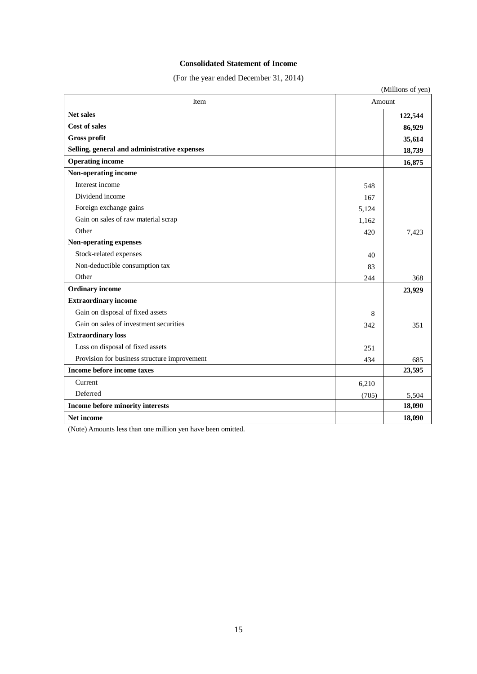# **Consolidated Statement of Income**

(For the year ended December 31, 2014)

| Item                                                     | Amount | (Millions of yen)           |
|----------------------------------------------------------|--------|-----------------------------|
| <b>Net sales</b><br>Cost of sales<br><b>Gross profit</b> |        | 122,544<br>86,929<br>35,614 |
| Selling, general and administrative expenses             | 18,739 |                             |
| <b>Operating income</b>                                  |        | 16,875                      |
| Non-operating income                                     |        |                             |
| Interest income                                          | 548    |                             |
| Dividend income                                          | 167    |                             |
| Foreign exchange gains                                   | 5,124  |                             |
| Gain on sales of raw material scrap                      | 1,162  |                             |
| Other                                                    | 420    | 7,423                       |
| Non-operating expenses                                   |        |                             |
| Stock-related expenses                                   | 40     |                             |
| Non-deductible consumption tax                           | 83     |                             |
| Other                                                    | 244    | 368                         |
| <b>Ordinary income</b>                                   |        | 23,929                      |
| <b>Extraordinary income</b>                              |        |                             |
| Gain on disposal of fixed assets                         | 8      |                             |
| Gain on sales of investment securities                   | 342    | 351                         |
| <b>Extraordinary loss</b>                                |        |                             |
| Loss on disposal of fixed assets                         | 251    |                             |
| Provision for business structure improvement             | 434    | 685                         |
| Income before income taxes                               |        | 23,595                      |
| Current                                                  | 6,210  |                             |
| Deferred                                                 | (705)  | 5,504                       |
| Income before minority interests                         |        | 18,090                      |
| <b>Net income</b>                                        |        | 18,090                      |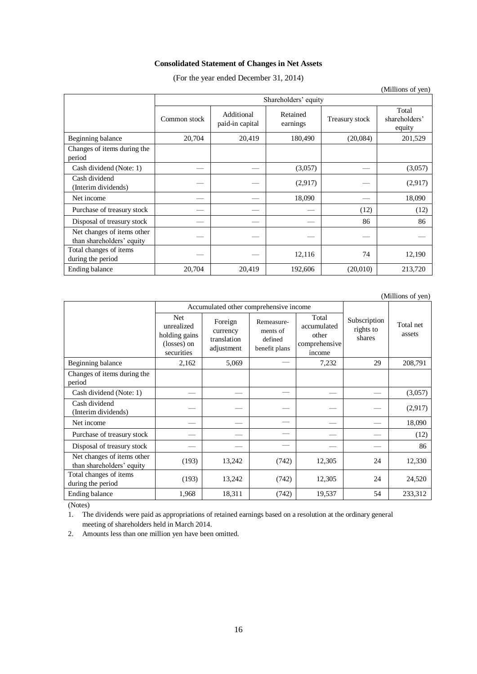# **Consolidated Statement of Changes in Net Assets**

(For the year ended December 31, 2014)

|                                                         |                      |                               |                      |                | (Millions of yen)                |
|---------------------------------------------------------|----------------------|-------------------------------|----------------------|----------------|----------------------------------|
|                                                         | Shareholders' equity |                               |                      |                |                                  |
|                                                         | Common stock         | Additional<br>paid-in capital | Retained<br>earnings | Treasury stock | Total<br>shareholders'<br>equity |
| Beginning balance                                       | 20,704               | 20,419                        | 180,490              | (20,084)       | 201,529                          |
| Changes of items during the<br>period                   |                      |                               |                      |                |                                  |
| Cash dividend (Note: 1)                                 |                      |                               | (3,057)              |                | (3,057)                          |
| Cash dividend<br>(Interim dividends)                    |                      |                               | (2,917)              |                | (2,917)                          |
| Net income                                              |                      |                               | 18,090               |                | 18,090                           |
| Purchase of treasury stock                              |                      |                               |                      | (12)           | (12)                             |
| Disposal of treasury stock                              |                      |                               |                      | 86             | 86                               |
| Net changes of items other<br>than shareholders' equity |                      |                               |                      |                |                                  |
| Total changes of items<br>during the period             |                      |                               | 12,116               | 74             | 12,190                           |
| Ending balance                                          | 20,704               | 20,419                        | 192,606              | (20,010)       | 213,720                          |

(Millions of yen)

|                                                         |                                                                  | Accumulated other comprehensive income           |                                                    |                                                          |                                     |                     |
|---------------------------------------------------------|------------------------------------------------------------------|--------------------------------------------------|----------------------------------------------------|----------------------------------------------------------|-------------------------------------|---------------------|
|                                                         | Net.<br>unrealized<br>holding gains<br>(losses) on<br>securities | Foreign<br>currency<br>translation<br>adjustment | Remeasure-<br>ments of<br>defined<br>benefit plans | Total<br>accumulated<br>other<br>comprehensive<br>income | Subscription<br>rights to<br>shares | Total net<br>assets |
| Beginning balance                                       | 2,162                                                            | 5,069                                            |                                                    | 7,232                                                    | 29                                  | 208,791             |
| Changes of items during the<br>period                   |                                                                  |                                                  |                                                    |                                                          |                                     |                     |
| Cash dividend (Note: 1)                                 |                                                                  |                                                  |                                                    |                                                          |                                     | (3,057)             |
| Cash dividend<br>(Interim dividends)                    |                                                                  |                                                  |                                                    |                                                          |                                     | (2,917)             |
| Net income                                              |                                                                  |                                                  |                                                    |                                                          |                                     | 18,090              |
| Purchase of treasury stock                              |                                                                  |                                                  |                                                    |                                                          |                                     | (12)                |
| Disposal of treasury stock                              |                                                                  |                                                  |                                                    |                                                          |                                     | 86                  |
| Net changes of items other<br>than shareholders' equity | (193)                                                            | 13,242                                           | (742)                                              | 12,305                                                   | 24                                  | 12,330              |
| Total changes of items<br>during the period             | (193)                                                            | 13,242                                           | (742)                                              | 12,305                                                   | 24                                  | 24,520              |
| Ending balance                                          | 1,968                                                            | 18,311                                           | (742)                                              | 19,537                                                   | 54                                  | 233,312             |

(Notes)

1. The dividends were paid as appropriations of retained earnings based on a resolution at the ordinary general meeting of shareholders held in March 2014.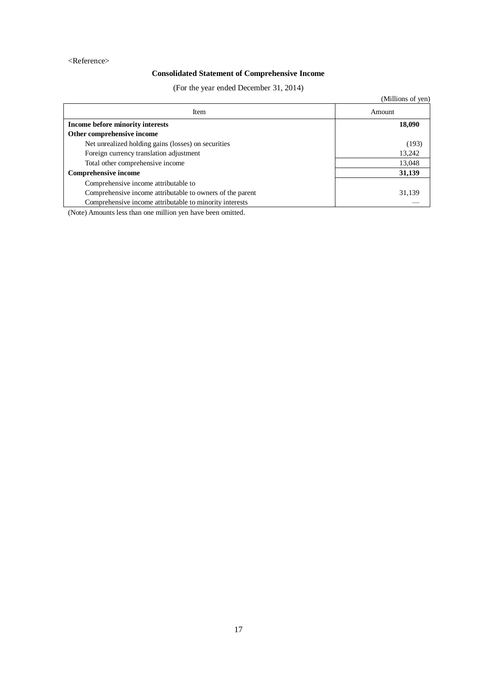### <Reference>

# **Consolidated Statement of Comprehensive Income**

(For the year ended December 31, 2014)

|                                                           | (Millions of yen) |
|-----------------------------------------------------------|-------------------|
| Item                                                      | Amount            |
| Income before minority interests                          | 18,090            |
| Other comprehensive income                                |                   |
| Net unrealized holding gains (losses) on securities       | (193)             |
| Foreign currency translation adjustment                   | 13,242            |
| Total other comprehensive income                          | 13,048            |
| <b>Comprehensive income</b>                               | 31,139            |
| Comprehensive income attributable to                      |                   |
| Comprehensive income attributable to owners of the parent | 31,139            |
| Comprehensive income attributable to minority interests   |                   |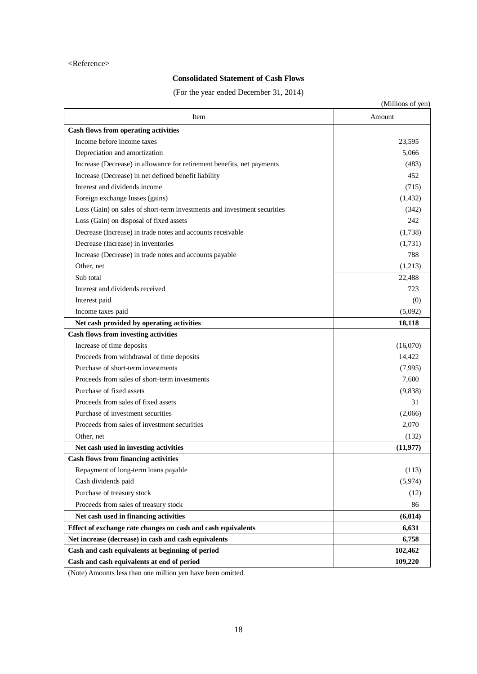### <Reference>

# **Consolidated Statement of Cash Flows**

(For the year ended December 31, 2014)

|                                                                          | (Millions of yen) |
|--------------------------------------------------------------------------|-------------------|
| Item                                                                     | Amount            |
| <b>Cash flows from operating activities</b>                              |                   |
| Income before income taxes                                               | 23,595            |
| Depreciation and amortization                                            | 5,066             |
| Increase (Decrease) in allowance for retirement benefits, net payments   | (483)             |
| Increase (Decrease) in net defined benefit liability                     | 452               |
| Interest and dividends income                                            | (715)             |
| Foreign exchange losses (gains)                                          | (1, 432)          |
| Loss (Gain) on sales of short-term investments and investment securities | (342)             |
| Loss (Gain) on disposal of fixed assets                                  | 242               |
| Decrease (Increase) in trade notes and accounts receivable               | (1,738)           |
| Decrease (Increase) in inventories                                       | (1,731)           |
| Increase (Decrease) in trade notes and accounts payable                  | 788               |
| Other, net                                                               | (1,213)           |
| Sub total                                                                | 22,488            |
| Interest and dividends received                                          | 723               |
| Interest paid                                                            | (0)               |
| Income taxes paid                                                        | (5,092)           |
| Net cash provided by operating activities                                | 18,118            |
| <b>Cash flows from investing activities</b>                              |                   |
| Increase of time deposits                                                | (16,070)          |
| Proceeds from withdrawal of time deposits                                | 14,422            |
| Purchase of short-term investments                                       | (7,995)           |
| Proceeds from sales of short-term investments                            | 7,600             |
| Purchase of fixed assets                                                 | (9,838)           |
| Proceeds from sales of fixed assets                                      | 31                |
| Purchase of investment securities                                        | (2,066)           |
| Proceeds from sales of investment securities                             | 2,070             |
| Other, net                                                               | (132)             |
| Net cash used in investing activities                                    | (11, 977)         |
| <b>Cash flows from financing activities</b>                              |                   |
| Repayment of long-term loans payable                                     | (113)             |
| Cash dividends paid                                                      | (5,974)           |
| Purchase of treasury stock                                               | (12)              |
| Proceeds from sales of treasury stock                                    | 86                |
| Net cash used in financing activities                                    | (6, 014)          |
| Effect of exchange rate changes on cash and cash equivalents             | 6,631             |
| Net increase (decrease) in cash and cash equivalents                     | 6,758             |
| Cash and cash equivalents at beginning of period                         | 102,462           |
| Cash and cash equivalents at end of period                               | 109,220           |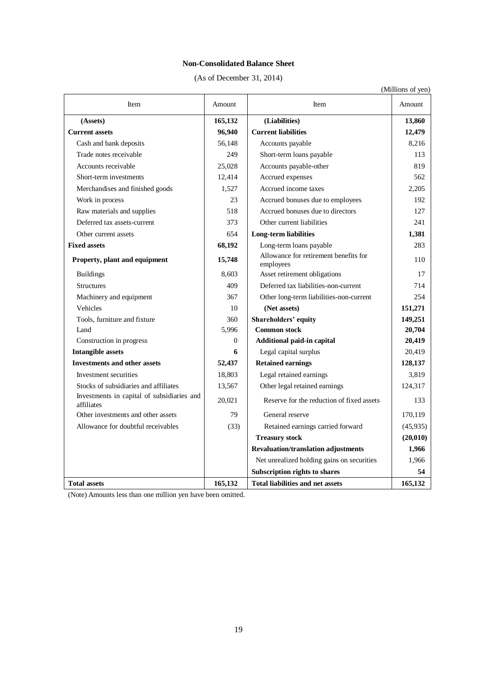# **Non-Consolidated Balance Sheet**

(As of December 31, 2014)

|                                                          |                |                                                    | (Millions of yen) |
|----------------------------------------------------------|----------------|----------------------------------------------------|-------------------|
| Item                                                     | Amount         | Item                                               | Amount            |
| (Assets)                                                 | 165,132        | (Liabilities)                                      | 13,860            |
| <b>Current assets</b>                                    | 96,940         | <b>Current liabilities</b>                         | 12,479            |
| Cash and bank deposits                                   | 56,148         | Accounts payable                                   | 8,216             |
| Trade notes receivable                                   | 249            | Short-term loans payable                           | 113               |
| Accounts receivable                                      | 25,028         | Accounts payable-other                             | 819               |
| Short-term investments                                   | 12,414         | Accrued expenses                                   | 562               |
| Merchandises and finished goods                          | 1.527          | Accrued income taxes                               | 2,205             |
| Work in process                                          | 23             | Accrued bonuses due to employees                   | 192               |
| Raw materials and supplies                               | 518            | Accrued bonuses due to directors                   | 127               |
| Deferred tax assets-current                              | 373            | Other current liabilities                          | 241               |
| Other current assets                                     | 654            | <b>Long-term liabilities</b>                       | 1,381             |
| <b>Fixed assets</b>                                      | 68,192         | Long-term loans payable                            | 283               |
| Property, plant and equipment                            | 15,748         | Allowance for retirement benefits for<br>employees | 110               |
| <b>Buildings</b>                                         | 8,603          | Asset retirement obligations                       | 17                |
| <b>Structures</b>                                        | 409            | Deferred tax liabilities-non-current               | 714               |
| Machinery and equipment                                  | 367            | Other long-term liabilities-non-current            | 254               |
| Vehicles                                                 | 10             | (Net assets)                                       | 151,271           |
| Tools, furniture and fixture                             | 360            | <b>Shareholders' equity</b>                        | 149,251           |
| Land                                                     | 5,996          | <b>Common stock</b>                                | 20,704            |
| Construction in progress                                 | $\overline{0}$ | Additional paid-in capital                         | 20,419            |
| <b>Intangible assets</b>                                 | 6              | Legal capital surplus                              | 20,419            |
| <b>Investments and other assets</b>                      | 52,437         | <b>Retained earnings</b>                           | 128,137           |
| Investment securities                                    | 18,803         | Legal retained earnings                            | 3.819             |
| Stocks of subsidiaries and affiliates                    | 13,567         | Other legal retained earnings                      | 124,317           |
| Investments in capital of subsidiaries and<br>affiliates | 20,021         | Reserve for the reduction of fixed assets          | 133               |
| Other investments and other assets                       | 79             | General reserve                                    | 170,119           |
| Allowance for doubtful receivables                       | (33)           | Retained earnings carried forward                  | (45, 935)         |
|                                                          |                | <b>Treasury stock</b>                              | (20, 010)         |
|                                                          |                | <b>Revaluation/translation adjustments</b>         | 1,966             |
|                                                          |                | Net unrealized holding gains on securities         | 1,966             |
|                                                          |                | <b>Subscription rights to shares</b>               | 54                |
| <b>Total assets</b>                                      | 165,132        | <b>Total liabilities and net assets</b>            | 165,132           |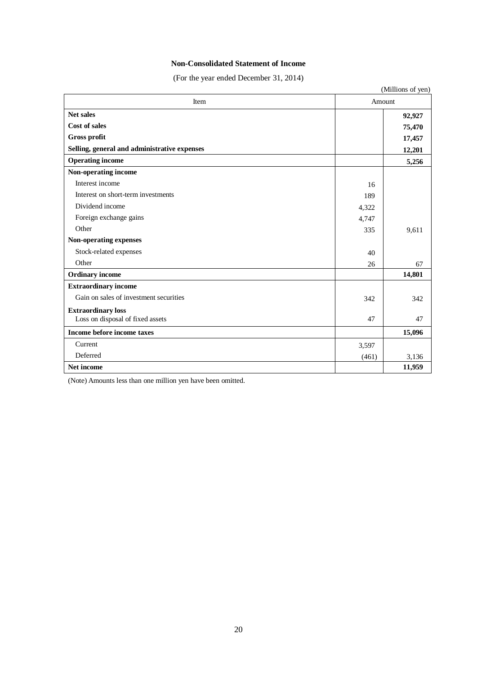# **Non-Consolidated Statement of Income**

(For the year ended December 31, 2014)

| (Millions of yen)                            |       |        |  |  |
|----------------------------------------------|-------|--------|--|--|
| Item                                         |       | Amount |  |  |
| <b>Net sales</b>                             |       | 92,927 |  |  |
| <b>Cost of sales</b>                         |       | 75,470 |  |  |
| <b>Gross profit</b>                          |       | 17,457 |  |  |
| Selling, general and administrative expenses |       | 12,201 |  |  |
| <b>Operating income</b>                      |       | 5,256  |  |  |
| Non-operating income                         |       |        |  |  |
| Interest income                              | 16    |        |  |  |
| Interest on short-term investments           | 189   |        |  |  |
| Dividend income                              | 4,322 |        |  |  |
| Foreign exchange gains                       | 4,747 |        |  |  |
| Other                                        | 335   | 9,611  |  |  |
| Non-operating expenses                       |       |        |  |  |
| Stock-related expenses                       | 40    |        |  |  |
| Other                                        | 26    | 67     |  |  |
| <b>Ordinary income</b>                       |       | 14,801 |  |  |
| <b>Extraordinary income</b>                  |       |        |  |  |
| Gain on sales of investment securities       | 342   | 342    |  |  |
| <b>Extraordinary loss</b>                    |       |        |  |  |
| Loss on disposal of fixed assets             | 47    | 47     |  |  |
| Income before income taxes                   |       | 15,096 |  |  |
| Current                                      | 3,597 |        |  |  |
| Deferred                                     | (461) | 3,136  |  |  |
| Net income                                   |       |        |  |  |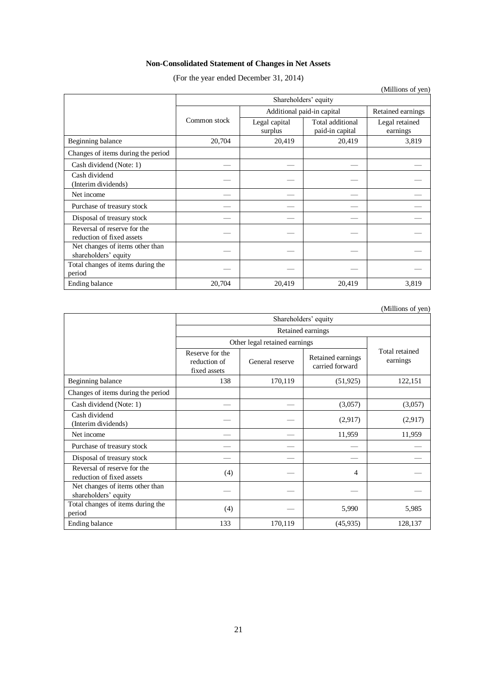# **Non-Consolidated Statement of Changes in Net Assets**

(For the year ended December 31, 2014)

|                                                          |                      |                                                 |                                     | (Millions of yen)          |  |
|----------------------------------------------------------|----------------------|-------------------------------------------------|-------------------------------------|----------------------------|--|
|                                                          | Shareholders' equity |                                                 |                                     |                            |  |
|                                                          |                      | Additional paid-in capital<br>Retained earnings |                                     |                            |  |
|                                                          | Common stock         | Legal capital<br>surplus                        | Total additional<br>paid-in capital | Legal retained<br>earnings |  |
| Beginning balance                                        | 20,704               | 20,419                                          | 20,419                              | 3,819                      |  |
| Changes of items during the period                       |                      |                                                 |                                     |                            |  |
| Cash dividend (Note: 1)                                  |                      |                                                 |                                     |                            |  |
| Cash dividend<br>(Interim dividends)                     |                      |                                                 |                                     |                            |  |
| Net income                                               |                      |                                                 |                                     |                            |  |
| Purchase of treasury stock                               |                      |                                                 |                                     |                            |  |
| Disposal of treasury stock                               |                      |                                                 |                                     |                            |  |
| Reversal of reserve for the<br>reduction of fixed assets |                      |                                                 |                                     |                            |  |
| Net changes of items other than<br>shareholders' equity  |                      |                                                 |                                     |                            |  |
| Total changes of items during the<br>period              |                      |                                                 |                                     |                            |  |
| Ending balance                                           | 20,704               | 20,419                                          | 20,419                              | 3,819                      |  |

(Millions of yen)

|                                                          | Shareholders' equity                            |                               |                                      |                            |  |  |  |
|----------------------------------------------------------|-------------------------------------------------|-------------------------------|--------------------------------------|----------------------------|--|--|--|
|                                                          | Retained earnings                               |                               |                                      |                            |  |  |  |
|                                                          |                                                 | Other legal retained earnings |                                      |                            |  |  |  |
|                                                          | Reserve for the<br>reduction of<br>fixed assets | General reserve               | Retained earnings<br>carried forward | Total retained<br>earnings |  |  |  |
| Beginning balance                                        | 138                                             | 170,119                       | (51, 925)                            | 122,151                    |  |  |  |
| Changes of items during the period                       |                                                 |                               |                                      |                            |  |  |  |
| Cash dividend (Note: 1)                                  |                                                 |                               | (3,057)                              | (3,057)                    |  |  |  |
| Cash dividend<br>(Interim dividends)                     |                                                 |                               | (2,917)                              | (2,917)                    |  |  |  |
| Net income                                               |                                                 |                               | 11,959                               | 11,959                     |  |  |  |
| Purchase of treasury stock                               |                                                 |                               |                                      |                            |  |  |  |
| Disposal of treasury stock                               |                                                 |                               |                                      |                            |  |  |  |
| Reversal of reserve for the<br>reduction of fixed assets | (4)                                             |                               | 4                                    |                            |  |  |  |
| Net changes of items other than<br>shareholders' equity  |                                                 |                               |                                      |                            |  |  |  |
| Total changes of items during the<br>period              | (4)                                             |                               | 5,990                                | 5,985                      |  |  |  |
| Ending balance                                           | 133                                             | 170,119                       | (45,935)                             | 128,137                    |  |  |  |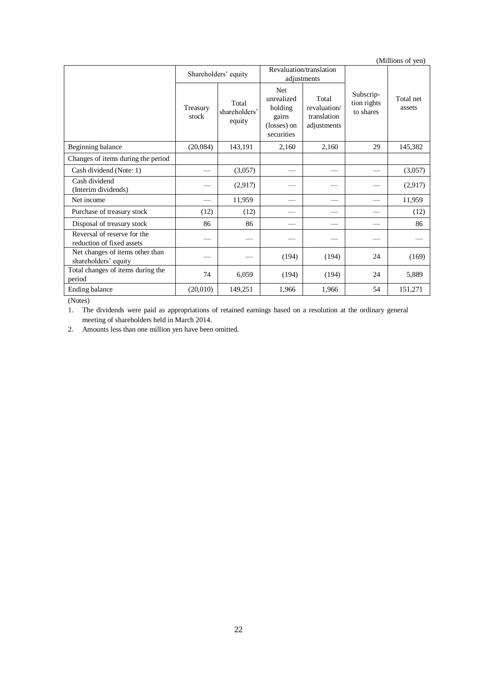|                                                          |                                                                |                                  |                                                                           |                                                     |                                       | (Millions of yen)   |
|----------------------------------------------------------|----------------------------------------------------------------|----------------------------------|---------------------------------------------------------------------------|-----------------------------------------------------|---------------------------------------|---------------------|
|                                                          | Revaluation/translation<br>Shareholders' equity<br>adjustments |                                  |                                                                           |                                                     |                                       |                     |
|                                                          | Treasury<br>stock                                              | Total<br>shareholders'<br>equity | <b>Net</b><br>unrealized<br>holding<br>gains<br>(losses) on<br>securities | Total<br>revaluation/<br>translation<br>adjustments | Subscrip-<br>tion rights<br>to shares | Total net<br>assets |
| Beginning balance                                        | (20,084)                                                       | 143,191                          | 2.160                                                                     | 2.160                                               | 29                                    | 145,382             |
| Changes of items during the period                       |                                                                |                                  |                                                                           |                                                     |                                       |                     |
| Cash dividend (Note: 1)                                  |                                                                | (3,057)                          |                                                                           |                                                     |                                       | (3,057)             |
| Cash dividend<br>(Interim dividends)                     |                                                                | (2,917)                          |                                                                           |                                                     |                                       | (2,917)             |
| Net income                                               |                                                                | 11,959                           |                                                                           |                                                     |                                       | 11,959              |
| Purchase of treasury stock                               | (12)                                                           | (12)                             |                                                                           |                                                     |                                       | (12)                |
| Disposal of treasury stock                               | 86                                                             | 86                               |                                                                           |                                                     |                                       | 86                  |
| Reversal of reserve for the<br>reduction of fixed assets |                                                                |                                  |                                                                           |                                                     |                                       |                     |
| Net changes of items other than<br>shareholders' equity  |                                                                |                                  | (194)                                                                     | (194)                                               | 24                                    | (169)               |
| Total changes of items during the<br>period              | 74                                                             | 6,059                            | (194)                                                                     | (194)                                               | 24                                    | 5,889               |
| Ending balance                                           | (20,010)                                                       | 149,251                          | 1,966                                                                     | 1,966                                               | 54                                    | 151,271             |

(Notes)

1. The dividends were paid as appropriations of retained earnings based on a resolution at the ordinary general meeting of shareholders held in March 2014.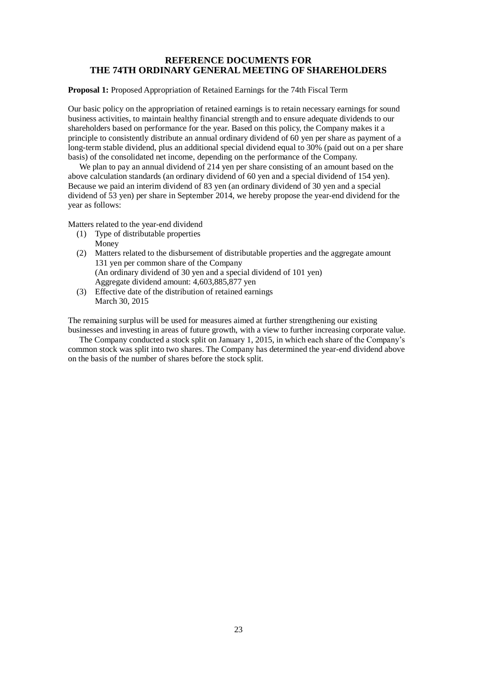# **REFERENCE DOCUMENTS FOR THE 74TH ORDINARY GENERAL MEETING OF SHAREHOLDERS**

**Proposal 1:** Proposed Appropriation of Retained Earnings for the 74th Fiscal Term

Our basic policy on the appropriation of retained earnings is to retain necessary earnings for sound business activities, to maintain healthy financial strength and to ensure adequate dividends to our shareholders based on performance for the year. Based on this policy, the Company makes it a principle to consistently distribute an annual ordinary dividend of 60 yen per share as payment of a long-term stable dividend, plus an additional special dividend equal to 30% (paid out on a per share basis) of the consolidated net income, depending on the performance of the Company.

We plan to pay an annual dividend of 214 yen per share consisting of an amount based on the above calculation standards (an ordinary dividend of 60 yen and a special dividend of 154 yen). Because we paid an interim dividend of 83 yen (an ordinary dividend of 30 yen and a special dividend of 53 yen) per share in September 2014, we hereby propose the year-end dividend for the year as follows:

Matters related to the year-end dividend

- (1) Type of distributable properties Money
- (2) Matters related to the disbursement of distributable properties and the aggregate amount 131 yen per common share of the Company (An ordinary dividend of 30 yen and a special dividend of 101 yen) Aggregate dividend amount: 4,603,885,877 yen
- (3) Effective date of the distribution of retained earnings March 30, 2015

The remaining surplus will be used for measures aimed at further strengthening our existing businesses and investing in areas of future growth, with a view to further increasing corporate value.

The Company conducted a stock split on January 1, 2015, in which each share of the Company's common stock was split into two shares. The Company has determined the year-end dividend above on the basis of the number of shares before the stock split.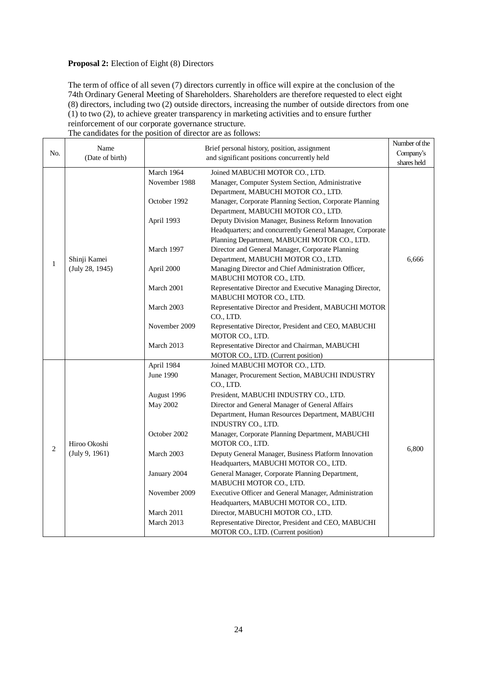# **Proposal 2:** Election of Eight (8) Directors

The term of office of all seven (7) directors currently in office will expire at the conclusion of the 74th Ordinary General Meeting of Shareholders. Shareholders are therefore requested to elect eight (8) directors, including two (2) outside directors, increasing the number of outside directors from one (1) to two (2), to achieve greater transparency in marketing activities and to ensure further reinforcement of our corporate governance structure.

|                | Name                           |                                             | Brief personal history, position, assignment                                                                                                                     | Number of the |
|----------------|--------------------------------|---------------------------------------------|------------------------------------------------------------------------------------------------------------------------------------------------------------------|---------------|
| No.            | (Date of birth)                | and significant positions concurrently held |                                                                                                                                                                  | Company's     |
|                |                                |                                             |                                                                                                                                                                  | shares held   |
|                |                                | March 1964<br>November 1988                 | Joined MABUCHI MOTOR CO., LTD.<br>Manager, Computer System Section, Administrative<br>Department, MABUCHI MOTOR CO., LTD.                                        |               |
|                |                                | October 1992                                | Manager, Corporate Planning Section, Corporate Planning<br>Department, MABUCHI MOTOR CO., LTD.                                                                   |               |
|                |                                | April 1993                                  | Deputy Division Manager, Business Reform Innovation<br>Headquarters; and concurrently General Manager, Corporate<br>Planning Department, MABUCHI MOTOR CO., LTD. |               |
| $\mathbf{1}$   | Shinji Kamei                   | March 1997                                  | Director and General Manager, Corporate Planning<br>Department, MABUCHI MOTOR CO., LTD.                                                                          | 6,666         |
|                | (July 28, 1945)                | April 2000                                  | Managing Director and Chief Administration Officer,<br>MABUCHI MOTOR CO., LTD.                                                                                   |               |
|                |                                | March 2001                                  | Representative Director and Executive Managing Director,<br>MABUCHI MOTOR CO., LTD.                                                                              |               |
|                |                                | March 2003                                  | Representative Director and President, MABUCHI MOTOR<br>CO., LTD.                                                                                                |               |
|                |                                | November 2009                               | Representative Director, President and CEO, MABUCHI<br>MOTOR CO., LTD.                                                                                           |               |
|                |                                | March 2013                                  | Representative Director and Chairman, MABUCHI<br>MOTOR CO., LTD. (Current position)                                                                              |               |
|                |                                | April 1984                                  | Joined MABUCHI MOTOR CO., LTD.                                                                                                                                   |               |
|                | Hiroo Okoshi<br>(July 9, 1961) | June 1990                                   | Manager, Procurement Section, MABUCHI INDUSTRY<br>CO., LTD.                                                                                                      |               |
|                |                                | August 1996                                 | President, MABUCHI INDUSTRY CO., LTD.                                                                                                                            |               |
|                |                                | May 2002                                    | Director and General Manager of General Affairs<br>Department, Human Resources Department, MABUCHI<br>INDUSTRY CO., LTD.                                         |               |
|                |                                | October 2002                                | Manager, Corporate Planning Department, MABUCHI<br>MOTOR CO., LTD.                                                                                               |               |
| $\overline{2}$ |                                | March 2003                                  | Deputy General Manager, Business Platform Innovation<br>Headquarters, MABUCHI MOTOR CO., LTD.                                                                    | 6,800         |
|                |                                | January 2004                                | General Manager, Corporate Planning Department,<br>MABUCHI MOTOR CO., LTD.                                                                                       |               |
|                |                                | November 2009                               | Executive Officer and General Manager, Administration<br>Headquarters, MABUCHI MOTOR CO., LTD.                                                                   |               |
|                |                                | March 2011                                  | Director, MABUCHI MOTOR CO., LTD.                                                                                                                                |               |
|                |                                | March 2013                                  | Representative Director, President and CEO, MABUCHI<br>MOTOR CO., LTD. (Current position)                                                                        |               |

The candidates for the position of director are as follows: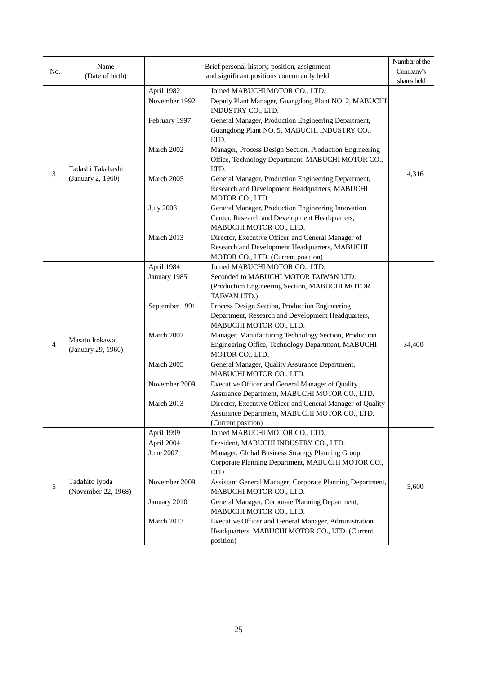| No.            | Name                                  |                  | Brief personal history, position, assignment                                                                                    | Number of the<br>Company's |
|----------------|---------------------------------------|------------------|---------------------------------------------------------------------------------------------------------------------------------|----------------------------|
|                | (Date of birth)                       |                  | and significant positions concurrently held                                                                                     | shares held                |
|                |                                       | April 1982       | Joined MABUCHI MOTOR CO., LTD.                                                                                                  |                            |
|                |                                       | November 1992    | Deputy Plant Manager, Guangdong Plant NO. 2, MABUCHI<br>INDUSTRY CO., LTD.                                                      |                            |
|                |                                       | February 1997    | General Manager, Production Engineering Department,<br>Guangdong Plant NO. 5, MABUCHI INDUSTRY CO.,<br>LTD.                     |                            |
|                | Tadashi Takahashi                     | March 2002       | Manager, Process Design Section, Production Engineering<br>Office, Technology Department, MABUCHI MOTOR CO.,<br>LTD.            |                            |
| $\mathfrak{Z}$ | (January 2, 1960)                     | March 2005       | General Manager, Production Engineering Department,<br>Research and Development Headquarters, MABUCHI<br>MOTOR CO., LTD.        | 4,316                      |
|                |                                       | <b>July 2008</b> | General Manager, Production Engineering Innovation<br>Center, Research and Development Headquarters,<br>MABUCHI MOTOR CO., LTD. |                            |
|                |                                       | March 2013       | Director, Executive Officer and General Manager of<br>Research and Development Headquarters, MABUCHI                            |                            |
|                |                                       |                  | MOTOR CO., LTD. (Current position)                                                                                              |                            |
|                |                                       | April 1984       | Joined MABUCHI MOTOR CO., LTD.                                                                                                  |                            |
|                | Masato Itokawa<br>(January 29, 1960)  | January 1985     | Seconded to MABUCHI MOTOR TAIWAN LTD.<br>(Production Engineering Section, MABUCHI MOTOR<br>TAIWAN LTD.)                         |                            |
|                |                                       | September 1991   | Process Design Section, Production Engineering<br>Department, Research and Development Headquarters,<br>MABUCHI MOTOR CO., LTD. |                            |
| $\overline{4}$ |                                       | March 2002       | Manager, Manufacturing Technology Section, Production<br>Engineering Office, Technology Department, MABUCHI<br>MOTOR CO., LTD.  | 34,400                     |
|                |                                       | March 2005       | General Manager, Quality Assurance Department,<br>MABUCHI MOTOR CO., LTD.                                                       |                            |
|                |                                       | November 2009    | Executive Officer and General Manager of Quality<br>Assurance Department, MABUCHI MOTOR CO., LTD.                               |                            |
|                |                                       | March 2013       | Director, Executive Officer and General Manager of Quality<br>Assurance Department, MABUCHI MOTOR CO., LTD.                     |                            |
|                |                                       | April 1999       | (Current position)<br>Joined MABUCHI MOTOR CO., LTD.                                                                            |                            |
|                |                                       | April 2004       | President, MABUCHI INDUSTRY CO., LTD.                                                                                           |                            |
|                |                                       | June 2007        | Manager, Global Business Strategy Planning Group,                                                                               |                            |
|                | Tadahito Iyoda<br>(November 22, 1968) |                  | Corporate Planning Department, MABUCHI MOTOR CO.,<br>LTD.                                                                       |                            |
| 5              |                                       | November 2009    | Assistant General Manager, Corporate Planning Department,<br>MABUCHI MOTOR CO., LTD.                                            | 5,600                      |
|                |                                       | January 2010     | General Manager, Corporate Planning Department,<br>MABUCHI MOTOR CO., LTD.                                                      |                            |
|                |                                       | March 2013       | Executive Officer and General Manager, Administration<br>Headquarters, MABUCHI MOTOR CO., LTD. (Current<br>position)            |                            |
|                |                                       |                  |                                                                                                                                 |                            |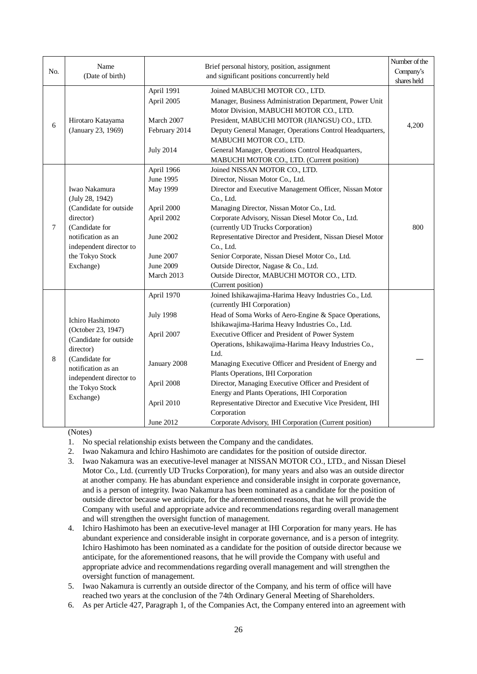|        | Name                                                                                            |                  | Brief personal history, position, assignment                                                           | Number of the            |
|--------|-------------------------------------------------------------------------------------------------|------------------|--------------------------------------------------------------------------------------------------------|--------------------------|
| No.    | (Date of birth)                                                                                 |                  | and significant positions concurrently held                                                            | Company's<br>shares held |
|        |                                                                                                 | April 1991       | Joined MABUCHI MOTOR CO., LTD.                                                                         |                          |
|        | Hirotaro Katayama<br>(January 23, 1969)                                                         | April 2005       | Manager, Business Administration Department, Power Unit<br>Motor Division, MABUCHI MOTOR CO., LTD.     |                          |
|        |                                                                                                 | March 2007       | President, MABUCHI MOTOR (JIANGSU) CO., LTD.                                                           |                          |
| 6      |                                                                                                 | February 2014    | Deputy General Manager, Operations Control Headquarters,<br>MABUCHI MOTOR CO., LTD.                    | 4,200                    |
|        |                                                                                                 | <b>July 2014</b> | General Manager, Operations Control Headquarters,<br>MABUCHI MOTOR CO., LTD. (Current position)        |                          |
|        |                                                                                                 | April 1966       | Joined NISSAN MOTOR CO., LTD.                                                                          |                          |
|        |                                                                                                 | June 1995        | Director, Nissan Motor Co., Ltd.                                                                       |                          |
|        | Iwao Nakamura                                                                                   | May 1999         | Director and Executive Management Officer, Nissan Motor                                                |                          |
|        | (July 28, 1942)                                                                                 |                  | Co., Ltd.                                                                                              |                          |
|        | (Candidate for outside                                                                          | April 2000       | Managing Director, Nissan Motor Co., Ltd.                                                              |                          |
|        | director)                                                                                       | April 2002       | Corporate Advisory, Nissan Diesel Motor Co., Ltd.                                                      |                          |
| $\tau$ | (Candidate for                                                                                  |                  | (currently UD Trucks Corporation)                                                                      | 800                      |
|        | notification as an                                                                              | June 2002        | Representative Director and President, Nissan Diesel Motor                                             |                          |
|        | independent director to<br>the Tokyo Stock                                                      | June 2007        | Co., Ltd.<br>Senior Corporate, Nissan Diesel Motor Co., Ltd.                                           |                          |
|        | Exchange)                                                                                       | <b>June 2009</b> | Outside Director, Nagase & Co., Ltd.                                                                   |                          |
|        |                                                                                                 | March 2013       | Outside Director, MABUCHI MOTOR CO., LTD.                                                              |                          |
|        |                                                                                                 |                  | (Current position)                                                                                     |                          |
|        |                                                                                                 | April 1970       | Joined Ishikawajima-Harima Heavy Industries Co., Ltd.<br>(currently IHI Corporation)                   |                          |
|        |                                                                                                 | <b>July 1998</b> | Head of Soma Works of Aero-Engine & Space Operations,                                                  |                          |
|        | Ichiro Hashimoto<br>(October 23, 1947)<br>(Candidate for outside                                |                  | Ishikawajima-Harima Heavy Industries Co., Ltd.                                                         |                          |
|        |                                                                                                 | April 2007       | Executive Officer and President of Power System                                                        |                          |
|        |                                                                                                 |                  | Operations, Ishikawajima-Harima Heavy Industries Co.,                                                  |                          |
|        | director)                                                                                       |                  | Ltd.                                                                                                   |                          |
| 8      | (Candidate for<br>notification as an<br>independent director to<br>the Tokyo Stock<br>Exchange) | January 2008     | Managing Executive Officer and President of Energy and                                                 |                          |
|        |                                                                                                 |                  | Plants Operations, IHI Corporation                                                                     |                          |
|        |                                                                                                 | April 2008       | Director, Managing Executive Officer and President of<br>Energy and Plants Operations, IHI Corporation |                          |
|        |                                                                                                 | April 2010       | Representative Director and Executive Vice President, IHI                                              |                          |
|        |                                                                                                 |                  | Corporation                                                                                            |                          |
|        |                                                                                                 | June 2012        | Corporate Advisory, IHI Corporation (Current position)                                                 |                          |

(Notes)

1. No special relationship exists between the Company and the candidates.

- 2. Iwao Nakamura and Ichiro Hashimoto are candidates for the position of outside director.
- 3. Iwao Nakamura was an executive-level manager at NISSAN MOTOR CO., LTD., and Nissan Diesel Motor Co., Ltd. (currently UD Trucks Corporation), for many years and also was an outside director at another company. He has abundant experience and considerable insight in corporate governance, and is a person of integrity. Iwao Nakamura has been nominated as a candidate for the position of outside director because we anticipate, for the aforementioned reasons, that he will provide the Company with useful and appropriate advice and recommendations regarding overall management and will strengthen the oversight function of management.
- 4. Ichiro Hashimoto has been an executive-level manager at IHI Corporation for many years. He has abundant experience and considerable insight in corporate governance, and is a person of integrity. Ichiro Hashimoto has been nominated as a candidate for the position of outside director because we anticipate, for the aforementioned reasons, that he will provide the Company with useful and appropriate advice and recommendations regarding overall management and will strengthen the oversight function of management.

5. Iwao Nakamura is currently an outside director of the Company, and his term of office will have reached two years at the conclusion of the 74th Ordinary General Meeting of Shareholders.

6. As per Article 427, Paragraph 1, of the Companies Act, the Company entered into an agreement with